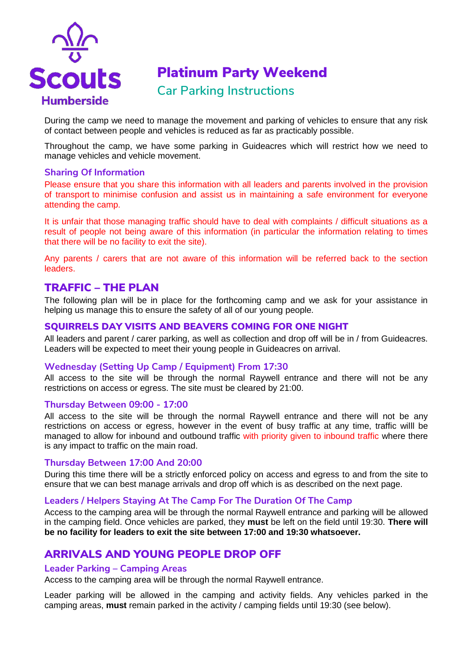

# Platinum Party Weekend

## **Car Parking Instructions**

During the camp we need to manage the movement and parking of vehicles to ensure that any risk of contact between people and vehicles is reduced as far as practicably possible.

Throughout the camp, we have some parking in Guideacres which will restrict how we need to manage vehicles and vehicle movement.

#### **Sharing Of Information**

Please ensure that you share this information with all leaders and parents involved in the provision of transport to minimise confusion and assist us in maintaining a safe environment for everyone attending the camp.

It is unfair that those managing traffic should have to deal with complaints / difficult situations as a result of people not being aware of this information (in particular the information relating to times that there will be no facility to exit the site).

Any parents / carers that are not aware of this information will be referred back to the section leaders.

#### TRAFFIC – THE PLAN

The following plan will be in place for the forthcoming camp and we ask for your assistance in helping us manage this to ensure the safety of all of our young people.

#### SQUIRRELS DAY VISITS AND BEAVERS COMING FOR ONE NIGHT

All leaders and parent / carer parking, as well as collection and drop off will be in / from Guideacres. Leaders will be expected to meet their young people in Guideacres on arrival.

#### **Wednesday (Setting Up Camp / Equipment) From 17:30**

All access to the site will be through the normal Raywell entrance and there will not be any restrictions on access or egress. The site must be cleared by 21:00.

#### **Thursday Between 09:00 - 17:00**

All access to the site will be through the normal Raywell entrance and there will not be any restrictions on access or egress, however in the event of busy traffic at any time, traffic willl be managed to allow for inbound and outbound traffic with priority given to inbound traffic where there is any impact to traffic on the main road.

#### **Thursday Between 17:00 And 20:00**

During this time there will be a strictly enforced policy on access and egress to and from the site to ensure that we can best manage arrivals and drop off which is as described on the next page.

#### **Leaders / Helpers Staying At The Camp For The Duration Of The Camp**

Access to the camping area will be through the normal Raywell entrance and parking will be allowed in the camping field. Once vehicles are parked, they **must** be left on the field until 19:30. **There will be no facility for leaders to exit the site between 17:00 and 19:30 whatsoever.**

## ARRIVALS AND YOUNG PEOPLE DROP OFF

#### **Leader Parking – Camping Areas**

Access to the camping area will be through the normal Raywell entrance.

Leader parking will be allowed in the camping and activity fields. Any vehicles parked in the camping areas, **must** remain parked in the activity / camping fields until 19:30 (see below).